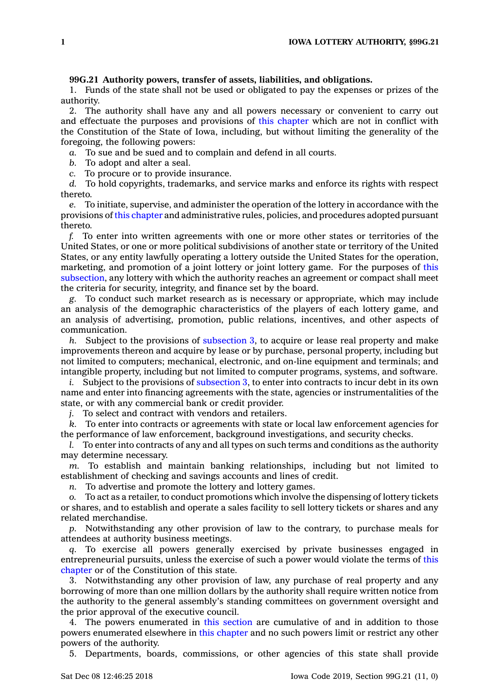## **99G.21 Authority powers, transfer of assets, liabilities, and obligations.**

1. Funds of the state shall not be used or obligated to pay the expenses or prizes of the authority.

2. The authority shall have any and all powers necessary or convenient to carry out and effectuate the purposes and provisions of this [chapter](https://www.legis.iowa.gov/docs/code//99G.pdf) which are not in conflict with the Constitution of the State of Iowa, including, but without limiting the generality of the foregoing, the following powers:

*a.* To sue and be sued and to complain and defend in all courts.

*b.* To adopt and alter <sup>a</sup> seal.

*c.* To procure or to provide insurance.

*d.* To hold copyrights, trademarks, and service marks and enforce its rights with respect thereto.

*e.* To initiate, supervise, and administer the operation of the lottery in accordance with the provisions of this [chapter](https://www.legis.iowa.gov/docs/code//99G.pdf) and administrative rules, policies, and procedures adopted pursuant thereto.

*f.* To enter into written agreements with one or more other states or territories of the United States, or one or more political subdivisions of another state or territory of the United States, or any entity lawfully operating <sup>a</sup> lottery outside the United States for the operation, marketing, and promotion of <sup>a</sup> joint lottery or joint lottery game. For the purposes of [this](https://www.legis.iowa.gov/docs/code/99G.21.pdf) [subsection](https://www.legis.iowa.gov/docs/code/99G.21.pdf), any lottery with which the authority reaches an agreement or compact shall meet the criteria for security, integrity, and finance set by the board.

*g.* To conduct such market research as is necessary or appropriate, which may include an analysis of the demographic characteristics of the players of each lottery game, and an analysis of advertising, promotion, public relations, incentives, and other aspects of communication.

*h.* Subject to the provisions of [subsection](https://www.legis.iowa.gov/docs/code/99G.21.pdf) 3, to acquire or lease real property and make improvements thereon and acquire by lease or by purchase, personal property, including but not limited to computers; mechanical, electronic, and on-line equipment and terminals; and intangible property, including but not limited to computer programs, systems, and software.

*i.* Subject to the provisions of [subsection](https://www.legis.iowa.gov/docs/code/99G.21.pdf) 3, to enter into contracts to incur debt in its own name and enter into financing agreements with the state, agencies or instrumentalities of the state, or with any commercial bank or credit provider.

*j.* To select and contract with vendors and retailers.

*k.* To enter into contracts or agreements with state or local law enforcement agencies for the performance of law enforcement, background investigations, and security checks.

*l.* To enter into contracts of any and all types on such terms and conditions as the authority may determine necessary.

*m.* To establish and maintain banking relationships, including but not limited to establishment of checking and savings accounts and lines of credit.

*n.* To advertise and promote the lottery and lottery games.

*o.* To act as <sup>a</sup> retailer, to conduct promotions which involve the dispensing of lottery tickets or shares, and to establish and operate <sup>a</sup> sales facility to sell lottery tickets or shares and any related merchandise.

*p.* Notwithstanding any other provision of law to the contrary, to purchase meals for attendees at authority business meetings.

*q.* To exercise all powers generally exercised by private businesses engaged in entrepreneurial pursuits, unless the exercise of such <sup>a</sup> power would violate the terms of [this](https://www.legis.iowa.gov/docs/code//99G.pdf) [chapter](https://www.legis.iowa.gov/docs/code//99G.pdf) or of the Constitution of this state.

3. Notwithstanding any other provision of law, any purchase of real property and any borrowing of more than one million dollars by the authority shall require written notice from the authority to the general assembly's standing committees on government oversight and the prior approval of the executive council.

4. The powers enumerated in this [section](https://www.legis.iowa.gov/docs/code/99G.21.pdf) are cumulative of and in addition to those powers enumerated elsewhere in this [chapter](https://www.legis.iowa.gov/docs/code//99G.pdf) and no such powers limit or restrict any other powers of the authority.

5. Departments, boards, commissions, or other agencies of this state shall provide